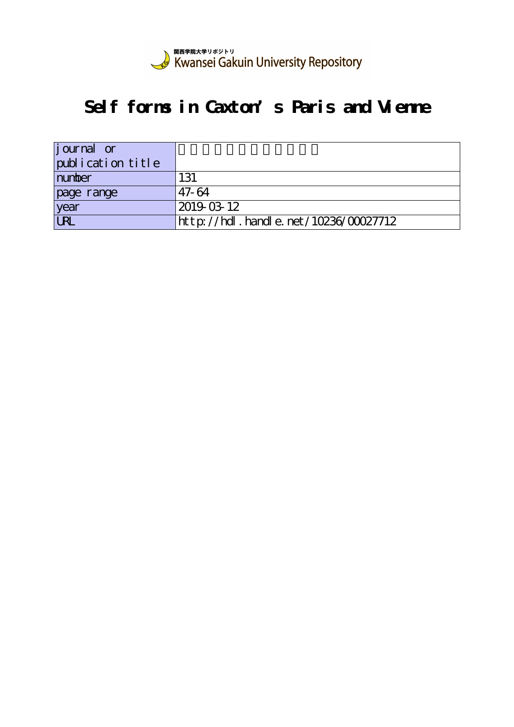

# **Self forms in Caxton's Paris and Vienne**

| <i>j</i> ournal or |                                      |
|--------------------|--------------------------------------|
| publication title  |                                      |
| number             | 131                                  |
| page range         | 47-64                                |
| year               | 2019-03-12                           |
| $\overline{UR}$    | http://hdl.handle.net/10236/00027712 |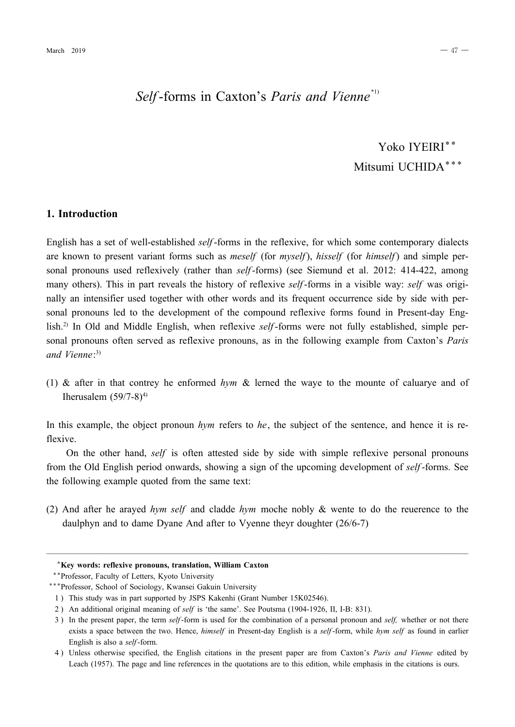## *Self*-forms in Caxton's *Paris and Vienne*<sup>\*1)</sup>

## Yoko IYEIRI\*\* Mitsumi UCHIDA\*\*\*

#### **1. Introduction**

English has a set of well-established *self*-forms in the reflexive, for which some contemporary dialects are known to present variant forms such as *meself* (for *myself*), *hisself* (for *himself*) and simple personal pronouns used reflexively (rather than *self*-forms) (see Siemund et al. 2012: 414-422, among many others). This in part reveals the history of reflexive *self*-forms in a visible way: *self* was originally an intensifier used together with other words and its frequent occurrence side by side with personal pronouns led to the development of the compound reflexive forms found in Present-day English.<sup>2)</sup> In Old and Middle English, when reflexive *self*-forms were not fully established, simple personal pronouns often served as reflexive pronouns, as in the following example from Caxton's *Paris and Vienne*: 3)

(1) & after in that contrey he enformed *hym* & lerned the waye to the mounte of caluarye and of Iherusalem  $(59/7-8)^{4}$ 

In this example, the object pronoun *hym* refers to *he*, the subject of the sentence, and hence it is reflexive.

On the other hand, *self* is often attested side by side with simple reflexive personal pronouns from the Old English period onwards, showing a sign of the upcoming development of *self*-forms. See the following example quoted from the same text:

(2) And after he arayed *hym self* and cladde *hym* moche nobly & wente to do the reuerence to the daulphyn and to dame Dyane And after to Vyenne theyr doughter (26/67)

─────────────────────────────────────────────────────

<sup>\*</sup>**Key words: reflexive pronouns, translation, William Caxton**

<sup>\*\*</sup>Professor, Faculty of Letters, Kyoto University

<sup>\*\*\*</sup>Professor, School of Sociology, Kwansei Gakuin University

<sup>1 )</sup> This study was in part supported by JSPS Kakenhi (Grant Number 15K02546).

<sup>2)</sup> An additional original meaning of *self* is 'the same'. See Poutsma (1904-1926, II, I-B: 831).

<sup>3)</sup> In the present paper, the term *self*-form is used for the combination of a personal pronoun and *self*, whether or not there exists a space between the two. Hence, *himself* in Present-day English is a *self*-form, while *hym self* as found in earlier English is also a *self*-form.

<sup>4 )</sup> Unless otherwise specified, the English citations in the present paper are from Caxton's *Paris and Vienne* edited by Leach (1957). The page and line references in the quotations are to this edition, while emphasis in the citations is ours.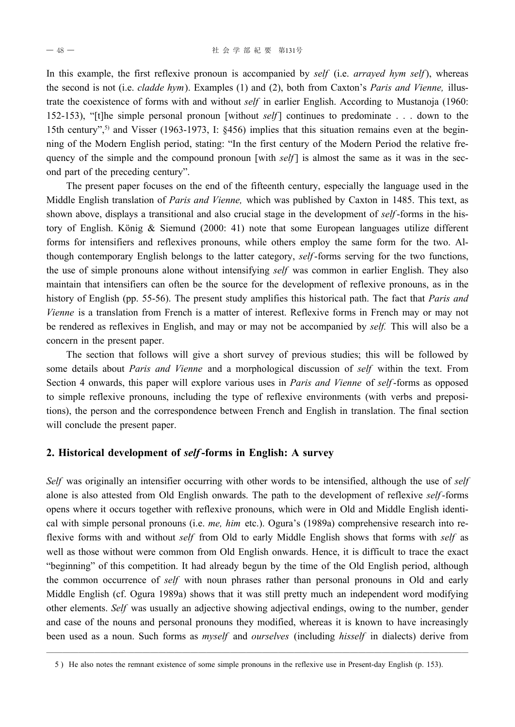In this example, the first reflexive pronoun is accompanied by *self* (i.e. *arrayed hym self*), whereas the second is not (i.e. *cladde hym*). Examples (1) and (2), both from Caxton's *Paris and Vienne,* illustrate the coexistence of forms with and without *self* in earlier English. According to Mustanoja (1960: 152153), "[t]he simple personal pronoun [without *self*] continues to predominate . . . down to the 15th century",<sup>5)</sup> and Visser (1963-1973, I: §456) implies that this situation remains even at the beginning of the Modern English period, stating: "In the first century of the Modern Period the relative frequency of the simple and the compound pronoun [with *self*] is almost the same as it was in the second part of the preceding century".

The present paper focuses on the end of the fifteenth century, especially the language used in the Middle English translation of *Paris and Vienne,* which was published by Caxton in 1485. This text, as shown above, displays a transitional and also crucial stage in the development of *self*-forms in the history of English. König & Siemund (2000: 41) note that some European languages utilize different forms for intensifiers and reflexives pronouns, while others employ the same form for the two. Although contemporary English belongs to the latter category, *self*-forms serving for the two functions, the use of simple pronouns alone without intensifying *self* was common in earlier English. They also maintain that intensifiers can often be the source for the development of reflexive pronouns, as in the history of English (pp. 5556). The present study amplifies this historical path. The fact that *Paris and Vienne* is a translation from French is a matter of interest. Reflexive forms in French may or may not be rendered as reflexives in English, and may or may not be accompanied by *self.* This will also be a concern in the present paper.

The section that follows will give a short survey of previous studies; this will be followed by some details about *Paris and Vienne* and a morphological discussion of *self* within the text. From Section 4 onwards, this paper will explore various uses in *Paris and Vienne* of *self*-forms as opposed to simple reflexive pronouns, including the type of reflexive environments (with verbs and prepositions), the person and the correspondence between French and English in translation. The final section will conclude the present paper.

### **2. Historical development of** *self***-forms in English: A survey**

*Self* was originally an intensifier occurring with other words to be intensified, although the use of *self* alone is also attested from Old English onwards. The path to the development of reflexive *self*-forms opens where it occurs together with reflexive pronouns, which were in Old and Middle English identical with simple personal pronouns (i.e. *me, him* etc.). Ogura's (1989a) comprehensive research into reflexive forms with and without *self* from Old to early Middle English shows that forms with *self* as well as those without were common from Old English onwards. Hence, it is difficult to trace the exact "beginning" of this competition. It had already begun by the time of the Old English period, although the common occurrence of *self* with noun phrases rather than personal pronouns in Old and early Middle English (cf. Ogura 1989a) shows that it was still pretty much an independent word modifying other elements. *Self* was usually an adjective showing adjectival endings, owing to the number, gender and case of the nouns and personal pronouns they modified, whereas it is known to have increasingly been used as a noun. Such forms as *myself* and *ourselves* (including *hisself* in dialects) derive from

─────────────────────────────────────────────────────

<sup>5)</sup> He also notes the remnant existence of some simple pronouns in the reflexive use in Present-day English (p. 153).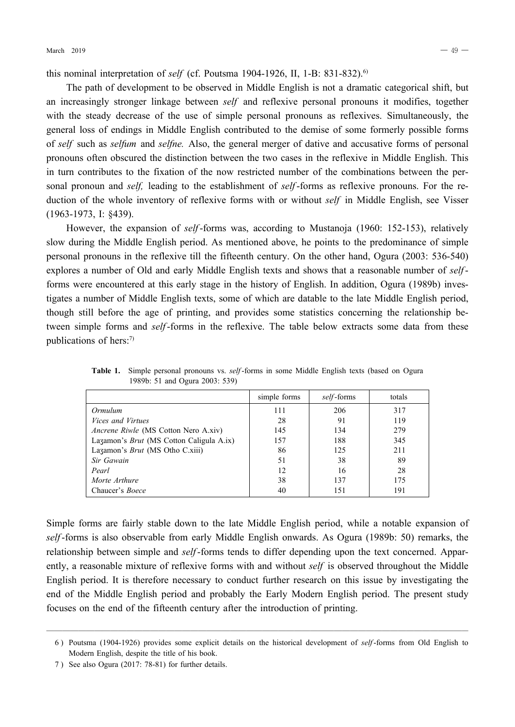this nominal interpretation of *self* (cf. Poutsma 1904-1926, II, 1-B: 831-832).<sup>6)</sup>

The path of development to be observed in Middle English is not a dramatic categorical shift, but an increasingly stronger linkage between *self* and reflexive personal pronouns it modifies, together with the steady decrease of the use of simple personal pronouns as reflexives. Simultaneously, the general loss of endings in Middle English contributed to the demise of some formerly possible forms of *self* such as *selfum* and *selfne.* Also, the general merger of dative and accusative forms of personal pronouns often obscured the distinction between the two cases in the reflexive in Middle English. This in turn contributes to the fixation of the now restricted number of the combinations between the personal pronoun and *self*, leading to the establishment of *self*-forms as reflexive pronouns. For the reduction of the whole inventory of reflexive forms with or without *self* in Middle English, see Visser (19631973, I: §439).

However, the expansion of *self*-forms was, according to Mustanoja (1960: 152-153), relatively slow during the Middle English period. As mentioned above, he points to the predominance of simple personal pronouns in the reflexive till the fifteenth century. On the other hand, Ogura (2003: 536-540) explores a number of Old and early Middle English texts and shows that a reasonable number of *self*forms were encountered at this early stage in the history of English. In addition, Ogura (1989b) investigates a number of Middle English texts, some of which are datable to the late Middle English period, though still before the age of printing, and provides some statistics concerning the relationship between simple forms and *self*-forms in the reflexive. The table below extracts some data from these publications of hers:<sup>7)</sup>

|                                             | simple forms | <i>self</i> -forms | totals |
|---------------------------------------------|--------------|--------------------|--------|
| Ormulum                                     | 111          | 206                | 317    |
| <i>Vices and Virtues</i>                    | 28           | 91                 | 119    |
| <i>Ancrene Riwle</i> (MS Cotton Nero A.xiv) | 145          | 134                | 279    |
| Lazamon's Brut (MS Cotton Caligula A.ix)    | 157          | 188                | 345    |
| Lazamon's <i>Brut</i> (MS Otho C.xiii)      | 86           | 125                | 211    |
| Sir Gawain                                  | 51           | 38                 | 89     |
| Pearl                                       | 12           | 16                 | 28     |
| Morte Arthure                               | 38           | 137                | 175    |
| Chaucer's <i>Boece</i>                      | 40           | 151                | 191    |

**Table 1.** Simple personal pronouns vs. *self*-forms in some Middle English texts (based on Ogura 1989b: 51 and Ogura 2003: 539)

Simple forms are fairly stable down to the late Middle English period, while a notable expansion of self-forms is also observable from early Middle English onwards. As Ogura (1989b: 50) remarks, the relationship between simple and *self*-forms tends to differ depending upon the text concerned. Apparently, a reasonable mixture of reflexive forms with and without *self* is observed throughout the Middle English period. It is therefore necessary to conduct further research on this issue by investigating the end of the Middle English period and probably the Early Modern English period. The present study focuses on the end of the fifteenth century after the introduction of printing.

<sup>─────────────────────────────────────────────────────</sup> 6) Poutsma (1904-1926) provides some explicit details on the historical development of *self*-forms from Old English to Modern English, despite the title of his book.

<sup>7)</sup> See also Ogura (2017: 78-81) for further details.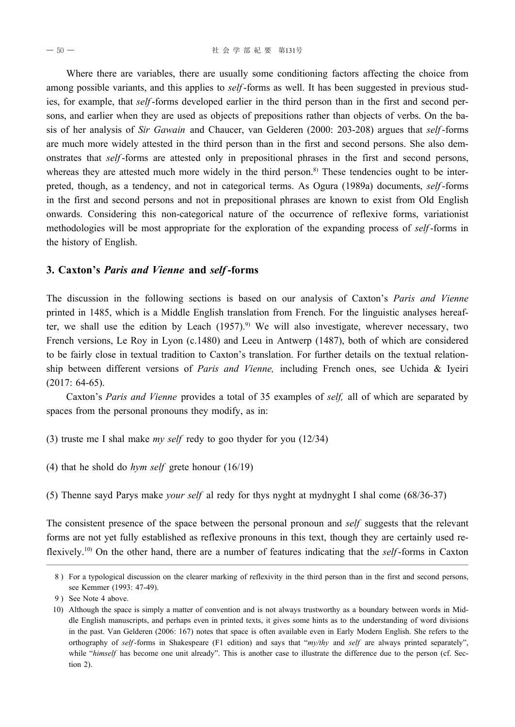Where there are variables, there are usually some conditioning factors affecting the choice from among possible variants, and this applies to *self*-forms as well. It has been suggested in previous studies, for example, that *self*-forms developed earlier in the third person than in the first and second persons, and earlier when they are used as objects of prepositions rather than objects of verbs. On the basis of her analysis of *Sir Gawain* and Chaucer, van Gelderen (2000: 203-208) argues that *self*-forms are much more widely attested in the third person than in the first and second persons. She also demonstrates that *self*-forms are attested only in prepositional phrases in the first and second persons, whereas they are attested much more widely in the third person.<sup>8)</sup> These tendencies ought to be interpreted, though, as a tendency, and not in categorical terms. As Ogura (1989a) documents, *self*-forms in the first and second persons and not in prepositional phrases are known to exist from Old English onwards. Considering this noncategorical nature of the occurrence of reflexive forms, variationist methodologies will be most appropriate for the exploration of the expanding process of *self*-forms in the history of English.

#### **3. Caxton's** *Paris and Vienne* **and** *self***-forms**

The discussion in the following sections is based on our analysis of Caxton's *Paris and Vienne* printed in 1485, which is a Middle English translation from French. For the linguistic analyses hereafter, we shall use the edition by Leach  $(1957)$ .<sup>9)</sup> We will also investigate, wherever necessary, two French versions, Le Roy in Lyon (c.1480) and Leeu in Antwerp (1487), both of which are considered to be fairly close in textual tradition to Caxton's translation. For further details on the textual relationship between different versions of *Paris and Vienne,* including French ones, see Uchida & Iyeiri  $(2017: 64-65)$ .

Caxton's *Paris and Vienne* provides a total of 35 examples of *self,* all of which are separated by spaces from the personal pronouns they modify, as in:

- (3) truste me I shal make *my self* redy to goo thyder for you (12/34)
- (4) that he shold do *hym self* grete honour (16/19)
- (5) Thenne sayd Parys make *your self* al redy for thys nyght at mydnyght I shal come (68/3637)

The consistent presence of the space between the personal pronoun and *self* suggests that the relevant forms are not yet fully established as reflexive pronouns in this text, though they are certainly used reflexively.<sup>10)</sup> On the other hand, there are a number of features indicating that the *self*-forms in Caxton

<sup>─────────────────────────────────────────────────────</sup> 8 ) For a typological discussion on the clearer marking of reflexivity in the third person than in the first and second persons, see Kemmer (1993: 47-49).

<sup>9)</sup> See Note 4 above.

<sup>10)</sup> Although the space is simply a matter of convention and is not always trustworthy as a boundary between words in Middle English manuscripts, and perhaps even in printed texts, it gives some hints as to the understanding of word divisions in the past. Van Gelderen (2006: 167) notes that space is often available even in Early Modern English. She refers to the orthography of self-forms in Shakespeare (F1 edition) and says that "my/thy and self are always printed separately", while "*himself* has become one unit already". This is another case to illustrate the difference due to the person (cf. Section 2).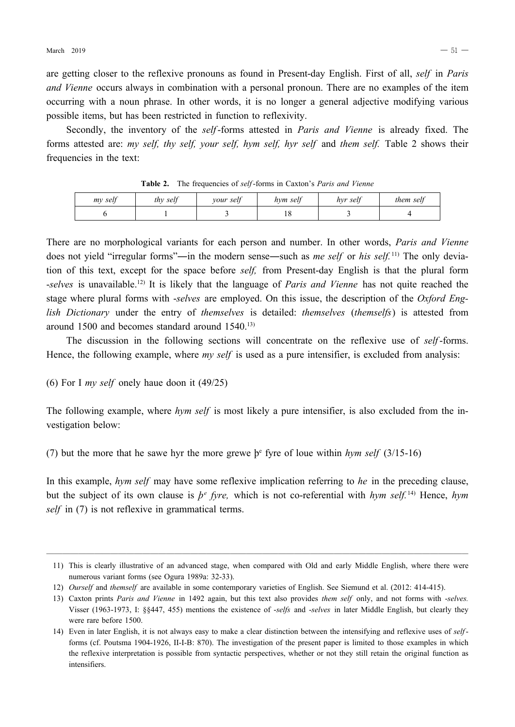are getting closer to the reflexive pronouns as found in Present-day English. First of all, *self* in *Paris and Vienne* occurs always in combination with a personal pronoun. There are no examples of the item occurring with a noun phrase. In other words, it is no longer a general adjective modifying various possible items, but has been restricted in function to reflexivity.

Secondly, the inventory of the *self*-forms attested in *Paris and Vienne* is already fixed. The forms attested are: *my self, thy self, your self, hym self, hyr self* and *them self.* Table 2 shows their frequencies in the text:

| my self | thy self | your self | hym self | hvr self | them self |
|---------|----------|-----------|----------|----------|-----------|
|         |          |           | 10       |          |           |

Table 2. The frequencies of *self*-forms in Caxton's *Paris and Vienne* 

There are no morphological variants for each person and number. In other words, *Paris and Vienne* does not yield "irregular forms"―in the modern sense―such as *me self* or *his self.* 11) The only deviation of this text, except for the space before *self,* from Presentday English is that the plural form *selves* is unavailable.12) It is likely that the language of *Paris and Vienne* has not quite reached the stage where plural forms with *selves* are employed. On this issue, the description of the *Oxford English Dictionary* under the entry of *themselves* is detailed: *themselves* (*themselfs*) is attested from around 1500 and becomes standard around 1540.13)

The discussion in the following sections will concentrate on the reflexive use of *self*-forms. Hence, the following example, where *my self* is used as a pure intensifier, is excluded from analysis:

(6) For I *my self* onely haue doon it (49/25)

The following example, where *hym self* is most likely a pure intensifier, is also excluded from the investigation below:

(7) but the more that he sawe hyr the more grewe  $\mathfrak{b}^e$  fyre of loue within *hym self* (3/15-16)

In this example, *hym self* may have some reflexive implication referring to *he* in the preceding clause, but the subject of its own clause is  $p^e$  *fyre*, which is not co-referential with *hym self.*<sup>14)</sup> Hence, *hym self* in (7) is not reflexive in grammatical terms.

<sup>─────────────────────────────────────────────────────</sup> 11) This is clearly illustrative of an advanced stage, when compared with Old and early Middle English, where there were numerous variant forms (see Ogura 1989a: 32-33).

<sup>12)</sup> *Ourself* and *themself* are available in some contemporary varieties of English. See Siemund et al. (2012: 414415).

<sup>13)</sup> Caxton prints *Paris and Vienne* in 1492 again, but this text also provides *them self* only, and not forms with *selves.* Visser (19631973, I: §§447, 455) mentions the existence of *selfs* and *selves* in later Middle English, but clearly they were rare before 1500.

<sup>14)</sup> Even in later English, it is not always easy to make a clear distinction between the intensifying and reflexive uses of *self*forms (cf. Poutsma 1904-1926, II-I-B: 870). The investigation of the present paper is limited to those examples in which the reflexive interpretation is possible from syntactic perspectives, whether or not they still retain the original function as intensifiers.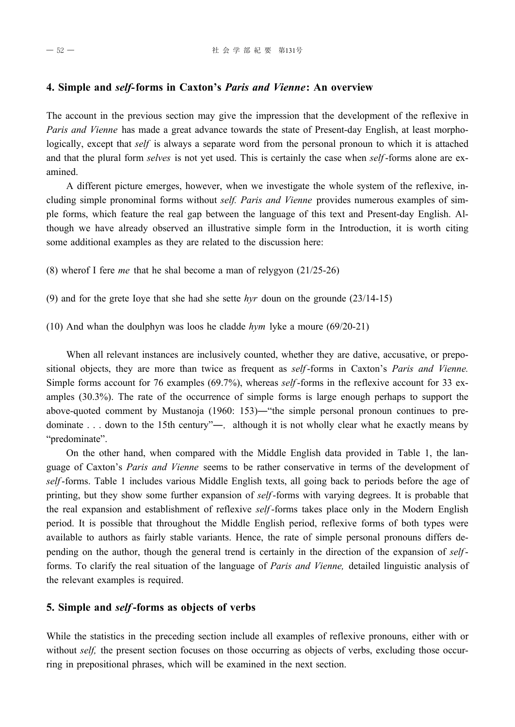#### **4. Simple and** *self-***forms in Caxton's** *Paris and Vienne***: An overview**

The account in the previous section may give the impression that the development of the reflexive in *Paris and Vienne* has made a great advance towards the state of Present-day English, at least morphologically, except that *self* is always a separate word from the personal pronoun to which it is attached and that the plural form *selves* is not yet used. This is certainly the case when *self*-forms alone are examined.

A different picture emerges, however, when we investigate the whole system of the reflexive, including simple pronominal forms without *self. Paris and Vienne* provides numerous examples of simple forms, which feature the real gap between the language of this text and Present-day English. Although we have already observed an illustrative simple form in the Introduction, it is worth citing some additional examples as they are related to the discussion here:

(8) wherof I fere *me* that he shal become a man of relygyon (21/25-26)

- (9) and for the grete Ioye that she had she sette *hyr* doun on the grounde (23/1415)
- (10) And whan the doulphyn was loos he cladde *hym* lyke a moure (69/2021)

When all relevant instances are inclusively counted, whether they are dative, accusative, or prepositional objects, they are more than twice as frequent as *self*-forms in Caxton's *Paris and Vienne*. Simple forms account for 76 examples (69.7%), whereas *self*-forms in the reflexive account for 33 examples (30.3%). The rate of the occurrence of simple forms is large enough perhaps to support the above-quoted comment by Mustanoja (1960: 153)—"the simple personal pronoun continues to predominate . . . down to the 15th century"—, although it is not wholly clear what he exactly means by "predominate".

On the other hand, when compared with the Middle English data provided in Table 1, the language of Caxton's *Paris and Vienne* seems to be rather conservative in terms of the development of *self*-forms. Table 1 includes various Middle English texts, all going back to periods before the age of printing, but they show some further expansion of *self*-forms with varying degrees. It is probable that the real expansion and establishment of reflexive *self*-forms takes place only in the Modern English period. It is possible that throughout the Middle English period, reflexive forms of both types were available to authors as fairly stable variants. Hence, the rate of simple personal pronouns differs depending on the author, though the general trend is certainly in the direction of the expansion of *self*forms. To clarify the real situation of the language of *Paris and Vienne,* detailed linguistic analysis of the relevant examples is required.

#### **5. Simple and** *self***-forms as objects of verbs**

While the statistics in the preceding section include all examples of reflexive pronouns, either with or without *self*, the present section focuses on those occurring as objects of verbs, excluding those occurring in prepositional phrases, which will be examined in the next section.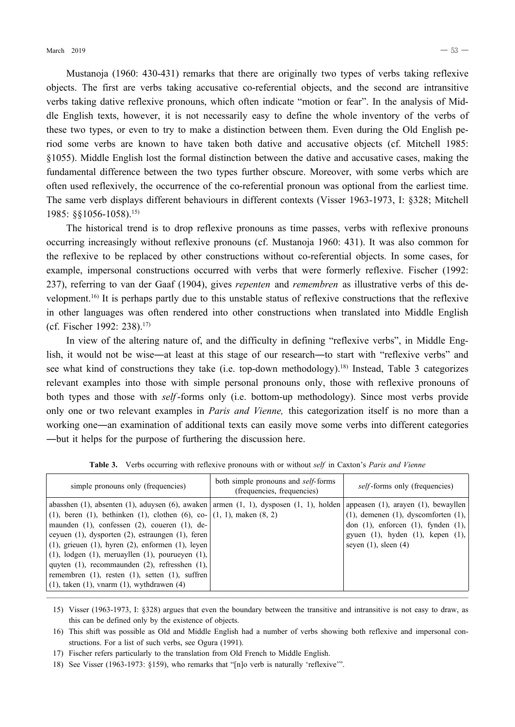Mustanoja (1960: 430-431) remarks that there are originally two types of verbs taking reflexive objects. The first are verbs taking accusative coreferential objects, and the second are intransitive verbs taking dative reflexive pronouns, which often indicate "motion or fear". In the analysis of Middle English texts, however, it is not necessarily easy to define the whole inventory of the verbs of these two types, or even to try to make a distinction between them. Even during the Old English period some verbs are known to have taken both dative and accusative objects (cf. Mitchell 1985: §1055). Middle English lost the formal distinction between the dative and accusative cases, making the fundamental difference between the two types further obscure. Moreover, with some verbs which are often used reflexively, the occurrence of the coreferential pronoun was optional from the earliest time. The same verb displays different behaviours in different contexts (Visser 1963-1973, I: §328; Mitchell 1985: §§10561058).15)

The historical trend is to drop reflexive pronouns as time passes, verbs with reflexive pronouns occurring increasingly without reflexive pronouns (cf. Mustanoja 1960: 431). It was also common for the reflexive to be replaced by other constructions without coreferential objects. In some cases, for example, impersonal constructions occurred with verbs that were formerly reflexive. Fischer (1992: 237), referring to van der Gaaf (1904), gives *repenten* and *remembren* as illustrative verbs of this development.16) It is perhaps partly due to this unstable status of reflexive constructions that the reflexive in other languages was often rendered into other constructions when translated into Middle English (cf. Fischer 1992: 238).17)

In view of the altering nature of, and the difficulty in defining "reflexive verbs", in Middle English, it would not be wise—at least at this stage of our research—to start with "reflexive verbs" and see what kind of constructions they take (i.e. top-down methodology).<sup>18)</sup> Instead, Table 3 categorizes relevant examples into those with simple personal pronouns only, those with reflexive pronouns of both types and those with *self*-forms only (i.e. bottom-up methodology). Since most verbs provide only one or two relevant examples in *Paris and Vienne,* this categorization itself is no more than a working one―an examination of additional texts can easily move some verbs into different categories ―but it helps for the purpose of furthering the discussion here.

| simple pronouns only (frequencies)                                                                                                                                                                                                                                                                                                                                                                                                                                                                                                                                                                                                              | both simple pronouns and <i>self</i> -forms<br>(frequencies, frequencies) | <i>self</i> -forms only (frequencies)                                                                                                                                 |
|-------------------------------------------------------------------------------------------------------------------------------------------------------------------------------------------------------------------------------------------------------------------------------------------------------------------------------------------------------------------------------------------------------------------------------------------------------------------------------------------------------------------------------------------------------------------------------------------------------------------------------------------------|---------------------------------------------------------------------------|-----------------------------------------------------------------------------------------------------------------------------------------------------------------------|
| abasshen $(1)$ , absenten $(1)$ , aduysen $(6)$ , awaken   armen $(1, 1)$ , dysposen $(1, 1)$ , holden   appeasen $(1)$ , arayen $(1)$ , bewayllen  <br>(1), beren (1), bethinken (1), clothen (6), co- $(1, 1)$ , maken (8, 2)<br>maunden $(1)$ , confessen $(2)$ , coueren $(1)$ , de-<br>ceyuen (1), dysporten (2), estraungen (1), feren<br>$(1)$ , grieuen $(1)$ , hyren $(2)$ , enformen $(1)$ , leven<br>$(1)$ , lodgen $(1)$ , meruayllen $(1)$ , pourueyen $(1)$ ,<br>quyten (1), recommainden (2), refresshen (1),<br>remembren $(1)$ , resten $(1)$ , setten $(1)$ , suffren<br>$(1)$ , taken $(1)$ , vnarm $(1)$ , wythdrawen $(4)$ |                                                                           | $(1)$ , demenen $(1)$ , dyscomforten $(1)$ ,<br>don $(1)$ , enforcen $(1)$ , fynden $(1)$ ,<br>gyuen $(1)$ , hyden $(1)$ , kepen $(1)$ ,<br>seyen $(1)$ , sleen $(4)$ |

**Table 3.** Verbs occurring with reflexive pronouns with or without *self* in Caxton's *Paris and Vienne*

- ───────────────────────────────────────────────────── 15) Visser (19631973, I: §328) argues that even the boundary between the transitive and intransitive is not easy to draw, as this can be defined only by the existence of objects.
	- 16) This shift was possible as Old and Middle English had a number of verbs showing both reflexive and impersonal constructions. For a list of such verbs, see Ogura (1991).
	- 17) Fischer refers particularly to the translation from Old French to Middle English.
	- 18) See Visser (1963-1973: §159), who remarks that "[n]o verb is naturally 'reflexive'".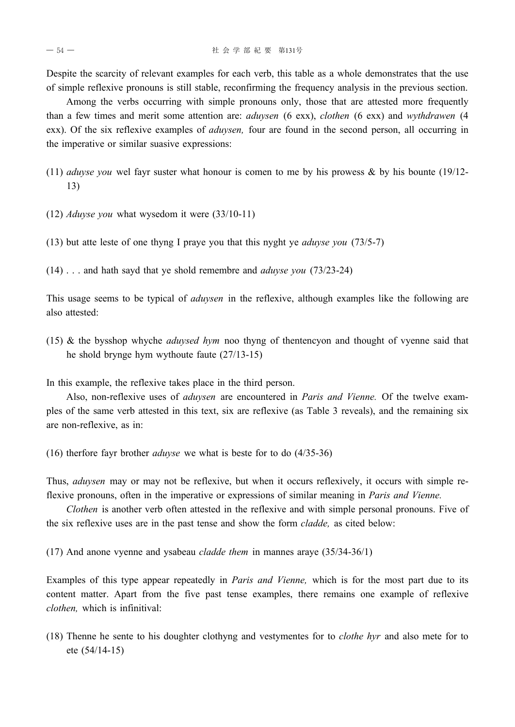Despite the scarcity of relevant examples for each verb, this table as a whole demonstrates that the use of simple reflexive pronouns is still stable, reconfirming the frequency analysis in the previous section.

Among the verbs occurring with simple pronouns only, those that are attested more frequently than a few times and merit some attention are: *aduysen* (6 exx), *clothen* (6 exx) and *wythdrawen* (4 exx). Of the six reflexive examples of *aduysen,* four are found in the second person, all occurring in the imperative or similar suasive expressions:

- (11) *aduyse you* wel fayr suster what honour is comen to me by his prowess & by his bounte (19/12- 13)
- (12) *Aduyse you* what wysedom it were (33/10-11)
- (13) but atte leste of one thyng I praye you that this nyght ye *aduyse you* (73/5-7)
- (14) . . . and hath sayd that ye shold remembre and *aduyse you* (73/23-24)

This usage seems to be typical of *aduysen* in the reflexive, although examples like the following are also attested:

(15) & the bysshop whyche *aduysed hym* noo thyng of thentencyon and thought of vyenne said that he shold brynge hym wythoute faute (27/13-15)

In this example, the reflexive takes place in the third person.

Also, non-reflexive uses of *aduysen* are encountered in *Paris and Vienne.* Of the twelve examples of the same verb attested in this text, six are reflexive (as Table 3 reveals), and the remaining six are non-reflexive, as in:

(16) therfore fayr brother *aduyse* we what is beste for to do (4/35-36)

Thus, *aduysen* may or may not be reflexive, but when it occurs reflexively, it occurs with simple reflexive pronouns, often in the imperative or expressions of similar meaning in *Paris and Vienne.*

*Clothen* is another verb often attested in the reflexive and with simple personal pronouns. Five of the six reflexive uses are in the past tense and show the form *cladde,* as cited below:

(17) And anone vyenne and ysabeau *cladde them* in mannes araye (35/34-36/1)

Examples of this type appear repeatedly in *Paris and Vienne,* which is for the most part due to its content matter. Apart from the five past tense examples, there remains one example of reflexive *clothen,* which is infinitival:

(18) Thenne he sente to his doughter clothyng and vestymentes for to *clothe hyr* and also mete for to ete (54/14-15)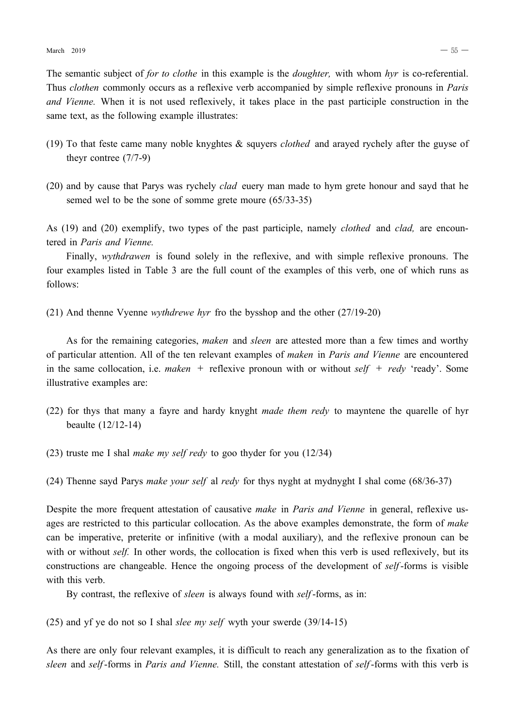The semantic subject of *for to clothe* in this example is the *doughter,* with whom *hyr* is co-referential. Thus *clothen* commonly occurs as a reflexive verb accompanied by simple reflexive pronouns in *Paris and Vienne.* When it is not used reflexively, it takes place in the past participle construction in the same text, as the following example illustrates:

- (19) To that feste came many noble knyghtes & squyers *clothed* and arayed rychely after the guyse of theyr contree (7/7-9)
- (20) and by cause that Parys was rychely *clad* euery man made to hym grete honour and sayd that he semed wel to be the sone of somme grete moure (65/33-35)

As (19) and (20) exemplify, two types of the past participle, namely *clothed* and *clad,* are encountered in *Paris and Vienne.*

Finally, *wythdrawen* is found solely in the reflexive, and with simple reflexive pronouns. The four examples listed in Table 3 are the full count of the examples of this verb, one of which runs as follows:

(21) And thenne Vyenne *wythdrewe hyr* fro the bysshop and the other (27/19-20)

As for the remaining categories, *maken* and *sleen* are attested more than a few times and worthy of particular attention. All of the ten relevant examples of *maken* in *Paris and Vienne* are encountered in the same collocation, i.e. *maken* + reflexive pronoun with or without *self* + *redy* 'ready'. Some illustrative examples are:

- (22) for thys that many a fayre and hardy knyght *made them redy* to mayntene the quarelle of hyr beaulte (12/12-14)
- (23) truste me I shal *make my self redy* to goo thyder for you (12/34)
- (24) Thenne sayd Parys *make your self* al *redy* for thys nyght at mydnyght I shal come (68/36-37)

Despite the more frequent attestation of causative *make* in *Paris and Vienne* in general, reflexive usages are restricted to this particular collocation. As the above examples demonstrate, the form of *make* can be imperative, preterite or infinitive (with a modal auxiliary), and the reflexive pronoun can be with or without *self.* In other words, the collocation is fixed when this verb is used reflexively, but its constructions are changeable. Hence the ongoing process of the development of *self*-forms is visible with this verb.

By contrast, the reflexive of *sleen* is always found with *self*-forms, as in:

(25) and yf ye do not so I shal *slee my self* wyth your swerde (39/14-15)

As there are only four relevant examples, it is difficult to reach any generalization as to the fixation of *sleen* and *self*-forms in *Paris and Vienne.* Still, the constant attestation of *self*-forms with this verb is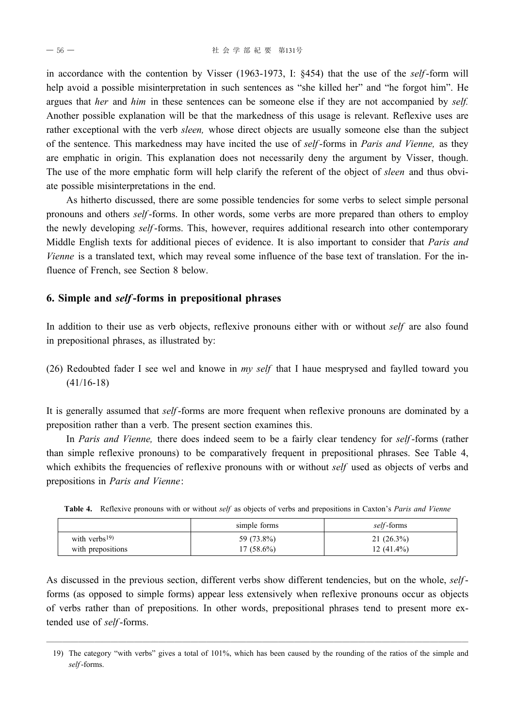in accordance with the contention by Visser (1963-1973, I: §454) that the use of the *self*-form will help avoid a possible misinterpretation in such sentences as "she killed her" and "he forgot him". He argues that *her* and *him* in these sentences can be someone else if they are not accompanied by *self.* Another possible explanation will be that the markedness of this usage is relevant. Reflexive uses are rather exceptional with the verb *sleen,* whose direct objects are usually someone else than the subject of the sentence. This markedness may have incited the use of *self*-forms in *Paris and Vienne,* as they are emphatic in origin. This explanation does not necessarily deny the argument by Visser, though. The use of the more emphatic form will help clarify the referent of the object of *sleen* and thus obviate possible misinterpretations in the end.

As hitherto discussed, there are some possible tendencies for some verbs to select simple personal pronouns and others *self*-forms. In other words, some verbs are more prepared than others to employ the newly developing *self*-forms. This, however, requires additional research into other contemporary Middle English texts for additional pieces of evidence. It is also important to consider that *Paris and Vienne* is a translated text, which may reveal some influence of the base text of translation. For the influence of French, see Section 8 below.

#### **6. Simple and** *self***-forms in prepositional phrases**

In addition to their use as verb objects, reflexive pronouns either with or without *self* are also found in prepositional phrases, as illustrated by:

(26) Redoubted fader I see wel and knowe in *my self* that I haue mesprysed and faylled toward you (41/16-18)

It is generally assumed that *self*-forms are more frequent when reflexive pronouns are dominated by a preposition rather than a verb. The present section examines this.

In *Paris and Vienne,* there does indeed seem to be a fairly clear tendency for *self*-forms (rather than simple reflexive pronouns) to be comparatively frequent in prepositional phrases. See Table 4, which exhibits the frequencies of reflexive pronouns with or without *self* used as objects of verbs and prepositions in *Paris and Vienne*:

|                   | simple forms | self-forms   |
|-------------------|--------------|--------------|
| with verbs $(19)$ | 59 (73.8%)   | 21(26.3%)    |
| with prepositions | $17(58.6\%)$ | $12(41.4\%)$ |

**Table 4.** Reflexive pronouns with or without *self* as objects of verbs and prepositions in Caxton's *Paris and Vienne*

As discussed in the previous section, different verbs show different tendencies, but on the whole, *self*forms (as opposed to simple forms) appear less extensively when reflexive pronouns occur as objects of verbs rather than of prepositions. In other words, prepositional phrases tend to present more extended use of *self*-forms.

<sup>─────────────────────────────────────────────────────</sup> 19) The category "with verbs" gives a total of 101%, which has been caused by the rounding of the ratios of the simple and *self*-forms.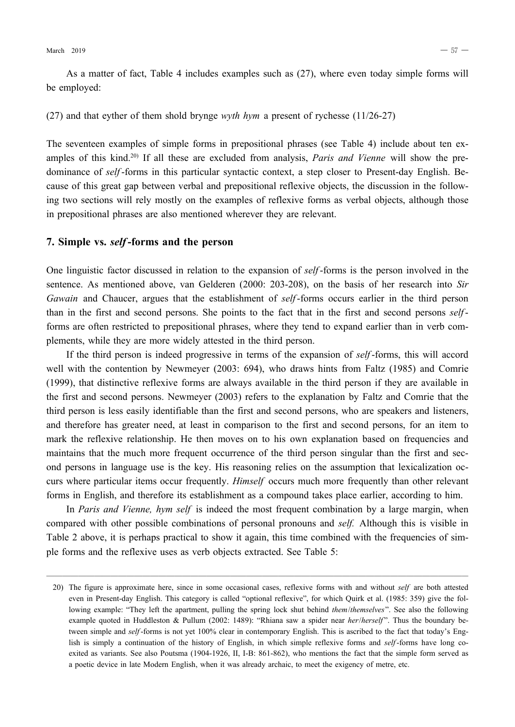As a matter of fact, Table 4 includes examples such as (27), where even today simple forms will be employed:

(27) and that eyther of them shold brynge *wyth hym* a present of rychesse (11/26-27)

The seventeen examples of simple forms in prepositional phrases (see Table 4) include about ten examples of this kind.<sup>20)</sup> If all these are excluded from analysis, *Paris and Vienne* will show the predominance of *self*-forms in this particular syntactic context, a step closer to Present-day English. Because of this great gap between verbal and prepositional reflexive objects, the discussion in the following two sections will rely mostly on the examples of reflexive forms as verbal objects, although those in prepositional phrases are also mentioned wherever they are relevant.

#### **7. Simple vs.** *self***-forms and the person**

One linguistic factor discussed in relation to the expansion of *self*-forms is the person involved in the sentence. As mentioned above, van Gelderen (2000: 203-208), on the basis of her research into *Sir Gawain* and Chaucer, argues that the establishment of *self*-forms occurs earlier in the third person than in the first and second persons. She points to the fact that in the first and second persons *self*forms are often restricted to prepositional phrases, where they tend to expand earlier than in verb complements, while they are more widely attested in the third person.

If the third person is indeed progressive in terms of the expansion of *self*-forms, this will accord well with the contention by Newmeyer (2003: 694), who draws hints from Faltz (1985) and Comrie (1999), that distinctive reflexive forms are always available in the third person if they are available in the first and second persons. Newmeyer (2003) refers to the explanation by Faltz and Comrie that the third person is less easily identifiable than the first and second persons, who are speakers and listeners, and therefore has greater need, at least in comparison to the first and second persons, for an item to mark the reflexive relationship. He then moves on to his own explanation based on frequencies and maintains that the much more frequent occurrence of the third person singular than the first and second persons in language use is the key. His reasoning relies on the assumption that lexicalization occurs where particular items occur frequently. *Himself* occurs much more frequently than other relevant forms in English, and therefore its establishment as a compound takes place earlier, according to him.

In *Paris and Vienne, hym self* is indeed the most frequent combination by a large margin, when compared with other possible combinations of personal pronouns and *self.* Although this is visible in Table 2 above, it is perhaps practical to show it again, this time combined with the frequencies of simple forms and the reflexive uses as verb objects extracted. See Table 5:

─────────────────────────────────────────────────────

<sup>20)</sup> The figure is approximate here, since in some occasional cases, reflexive forms with and without *self* are both attested even in Present-day English. This category is called "optional reflexive", for which Quirk et al. (1985: 359) give the following example: "They left the apartment, pulling the spring lock shut behind *them*/*themselves*". See also the following example quoted in Huddleston & Pullum (2002: 1489): "Rhiana saw a spider near *her/herself*". Thus the boundary between simple and *self*-forms is not yet 100% clear in contemporary English. This is ascribed to the fact that today's English is simply a continuation of the history of English, in which simple reflexive forms and *self*-forms have long coexited as variants. See also Poutsma (1904-1926, II, I-B: 861-862), who mentions the fact that the simple form served as a poetic device in late Modern English, when it was already archaic, to meet the exigency of metre, etc.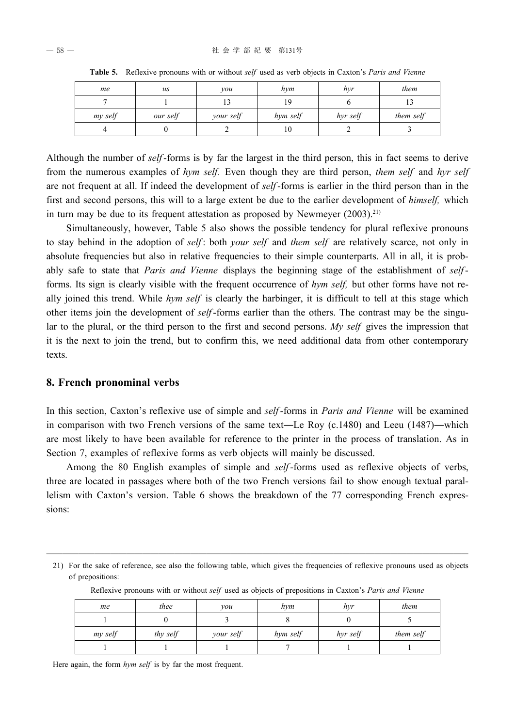| me      | $\iota$  | vou       | hvm      | hvr      | them      |
|---------|----------|-----------|----------|----------|-----------|
|         |          |           |          |          |           |
| my self | our self | your self | hym self | hyr self | them self |
|         |          |           | 10       |          |           |

**Table 5.** Reflexive pronouns with or without *self* used as verb objects in Caxton's *Paris and Vienne*

Although the number of *self*-forms is by far the largest in the third person, this in fact seems to derive from the numerous examples of *hym self.* Even though they are third person, *them self* and *hyr self* are not frequent at all. If indeed the development of *self*-forms is earlier in the third person than in the first and second persons, this will to a large extent be due to the earlier development of *himself,* which in turn may be due to its frequent attestation as proposed by Newmeyer  $(2003)^{21}$ 

Simultaneously, however, Table 5 also shows the possible tendency for plural reflexive pronouns to stay behind in the adoption of *self* : both *your self* and *them self* are relatively scarce, not only in absolute frequencies but also in relative frequencies to their simple counterparts. All in all, it is probably safe to state that *Paris and Vienne* displays the beginning stage of the establishment of *self*forms. Its sign is clearly visible with the frequent occurrence of *hym self,* but other forms have not really joined this trend. While *hym self* is clearly the harbinger, it is difficult to tell at this stage which other items join the development of *self*-forms earlier than the others. The contrast may be the singular to the plural, or the third person to the first and second persons. *My self* gives the impression that it is the next to join the trend, but to confirm this, we need additional data from other contemporary texts.

#### **8. French pronominal verbs**

In this section, Caxton's reflexive use of simple and *self*-forms in *Paris and Vienne* will be examined in comparison with two French versions of the same text―Le Roy (c.1480) and Leeu (1487)―which are most likely to have been available for reference to the printer in the process of translation. As in Section 7, examples of reflexive forms as verb objects will mainly be discussed.

Among the 80 English examples of simple and *self*-forms used as reflexive objects of verbs, three are located in passages where both of the two French versions fail to show enough textual parallelism with Caxton's version. Table 6 shows the breakdown of the 77 corresponding French expressions:

───────────────────────────────────────────────────── 21) For the sake of reference, see also the following table, which gives the frequencies of reflexive pronouns used as objects of prepositions:

| me      | thee     | vou       | hym      | hvr      | them      |
|---------|----------|-----------|----------|----------|-----------|
|         |          |           |          |          |           |
| my self | thy self | your self | hym self | hyr self | them self |
|         |          |           |          |          |           |

Reflexive pronouns with or without *self* used as objects of prepositions in Caxton's *Paris and Vienne*

Here again, the form *hym self* is by far the most frequent.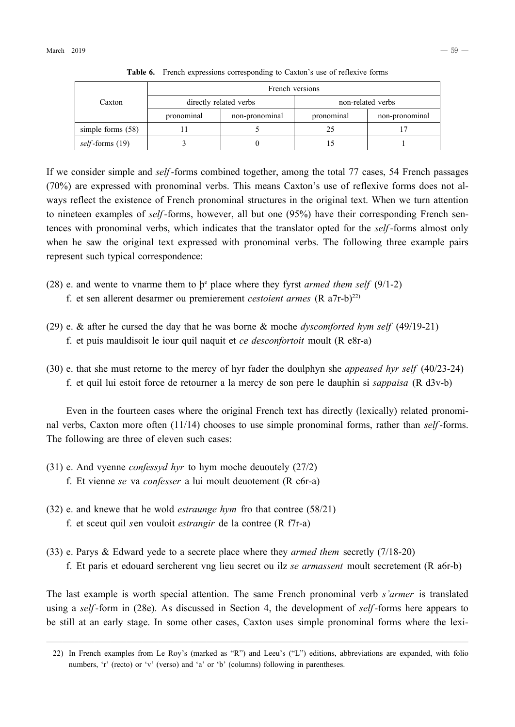|                         | French versions        |                |                   |                |  |
|-------------------------|------------------------|----------------|-------------------|----------------|--|
| Caxton                  | directly related verbs |                | non-related verbs |                |  |
|                         | pronominal             | non-pronominal | pronominal        | non-pronominal |  |
| simple forms $(58)$     |                        |                | 25                |                |  |
| <i>self</i> -forms (19) |                        |                |                   |                |  |

**Table 6.** French expressions corresponding to Caxton's use of reflexive forms

If we consider simple and *self*-forms combined together, among the total 77 cases, 54 French passages (70%) are expressed with pronominal verbs. This means Caxton's use of reflexive forms does not always reflect the existence of French pronominal structures in the original text. When we turn attention to nineteen examples of *self*-forms, however, all but one (95%) have their corresponding French sentences with pronominal verbs, which indicates that the translator opted for the *self*-forms almost only when he saw the original text expressed with pronominal verbs. The following three example pairs represent such typical correspondence:

- (28) e. and wente to vnarme them to  $\beta^e$  place where they fyrst *armed them self* (9/1-2) f. et sen allerent desarmer ou premierement *cestoient armes* (R a7r-b)22)
- (29) e. & after he cursed the day that he was borne & moche *dyscomforted hym self* (49/19-21)
	- f. et puis mauldisoit le iour quil naquit et *ce desconfortoit* moult (R e8r-a)
- (30) e. that she must retorne to the mercy of hyr fader the doulphyn she *appeased hyr self* (40/23-24) f. et quil lui estoit force de retourner a la mercy de son pere le dauphin si *sappaisa* (R d3v-b)

Even in the fourteen cases where the original French text has directly (lexically) related pronominal verbs, Caxton more often (11/14) chooses to use simple pronominal forms, rather than *self*-forms. The following are three of eleven such cases:

- (31) e. And vyenne *confessyd hyr* to hym moche deuoutely (27/2)
	- f. Et vienne *se* va *confesser* a lui moult deuotement (R c6r-a)
- (32) e. and knewe that he wold *estraunge hym* fro that contree (58/21) f. et sceut quil *s*en vouloit *estrangir* de la contree (R f7r-a)
- (33) e. Parys & Edward yede to a secrete place where they *armed them* secretly (7/18-20)
	- f. Et paris et edouard sercherent vng lieu secret ou ilz *se armassent* moult secretement (R a6r-b)

The last example is worth special attention. The same French pronominal verb *s'armer* is translated using a *self*-form in (28e). As discussed in Section 4, the development of *self*-forms here appears to be still at an early stage. In some other cases, Caxton uses simple pronominal forms where the lexi-

<sup>─────────────────────────────────────────────────────</sup> 22) In French examples from Le Roy's (marked as "R") and Leeu's ("L") editions, abbreviations are expanded, with folio numbers, 'r' (recto) or 'v' (verso) and 'a' or 'b' (columns) following in parentheses.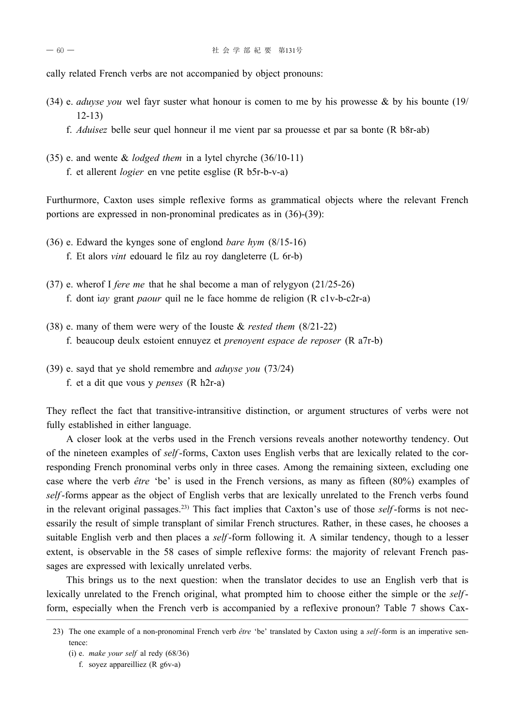cally related French verbs are not accompanied by object pronouns:

- (34) e. *aduyse you* wel fayr suster what honour is comen to me by his prowesse & by his bounte (19/ 12-13)
	- f. *Aduisez* belle seur quel honneur il me vient par sa prouesse et par sa bonte (R b8r-ab)
- (35) e. and wente & *lodged them* in a lytel chyrche (36/10-11)
	- f. et allerent *logier* en vne petite esglise (R b5r-b-v-a)

Furthurmore, Caxton uses simple reflexive forms as grammatical objects where the relevant French portions are expressed in non-pronominal predicates as in (36)-(39):

- (36) e. Edward the kynges sone of englond *bare hym* (8/15-16)
	- f. Et alors *vint* edouard le filz au roy dangleterre (L 6r-b)
- (37) e. wherof I *fere me* that he shal become a man of relygyon (21/25-26) f. dont i*ay* grant *paour* quil ne le face homme de religion (R c1v-b-c2r-a)
- (38) e. many of them were wery of the Iouste & *rested them* (8/21-22) f. beaucoup deulx estoient ennuyez et *prenoyent espace de reposer* (R a7r-b)
- (39) e. sayd that ye shold remembre and *aduyse you* (73/24) f. et a dit que vous y *penses* (R h2r-a)

They reflect the fact that transitive-intransitive distinction, or argument structures of verbs were not fully established in either language.

A closer look at the verbs used in the French versions reveals another noteworthy tendency. Out of the nineteen examples of *self*-forms, Caxton uses English verbs that are lexically related to the corresponding French pronominal verbs only in three cases. Among the remaining sixteen, excluding one case where the verb *être* 'be' is used in the French versions, as many as fifteen (80%) examples of *self*-forms appear as the object of English verbs that are lexically unrelated to the French verbs found in the relevant original passages.23) This fact implies that Caxton's use of those *self*-forms is not necessarily the result of simple transplant of similar French structures. Rather, in these cases, he chooses a suitable English verb and then places a *self*-form following it. A similar tendency, though to a lesser extent, is observable in the 58 cases of simple reflexive forms: the majority of relevant French passages are expressed with lexically unrelated verbs.

This brings us to the next question: when the translator decides to use an English verb that is lexically unrelated to the French original, what prompted him to choose either the simple or the *self*form, especially when the French verb is accompanied by a reflexive pronoun? Table 7 shows Cax-

<sup>─────────────────────────────────────────────────────</sup> 23) The one example of a non-pronominal French verb *être* 'be' translated by Caxton using a *self*-form is an imperative sentence:

<sup>(</sup>i) e. *make your self* al redy (68/36)

f. soyez appareilliez (R g6v-a)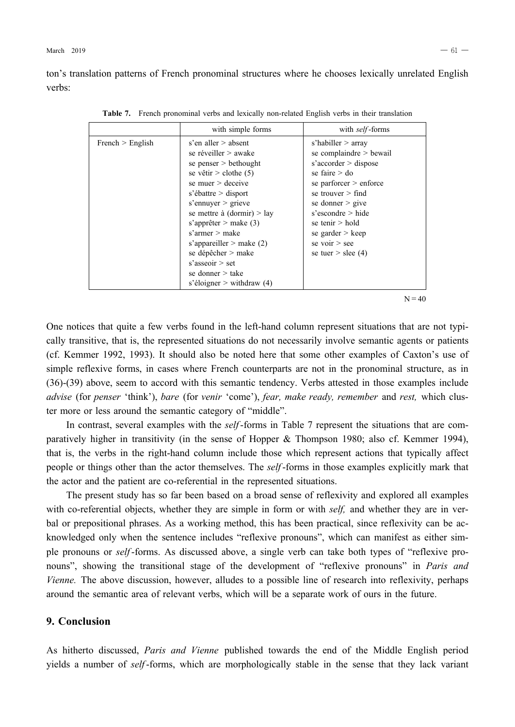ton's translation patterns of French pronominal structures where he chooses lexically unrelated English verbs:

|                    | with simple forms                                                                                                                                                                                                                                                                                                                                                                              | with <i>self</i> -forms                                                                                                                                                                                                                                                                              |
|--------------------|------------------------------------------------------------------------------------------------------------------------------------------------------------------------------------------------------------------------------------------------------------------------------------------------------------------------------------------------------------------------------------------------|------------------------------------------------------------------------------------------------------------------------------------------------------------------------------------------------------------------------------------------------------------------------------------------------------|
| French $>$ English | s'en aller $>$ absent<br>se réveiller > awake<br>se penser $>$ bethought<br>se vêtir > clothe $(5)$<br>se muer $>$ deceive<br>s'ébattre $>$ disport<br>s'ennuyer $>$ grieve<br>se mettre à $(dormir) > lay$<br>s'apprêter > make $(3)$<br>$s'$ armer $>$ make<br>s'appareiller > make $(2)$<br>se dépêcher > make<br>$s'$ asseoir $>$ set<br>se donner $>$ take<br>s'éloigner > withdraw $(4)$ | s'habiller $>$ array<br>se complaindre $>$ bewail<br>$s' \text{accept} > \text{dispose}$<br>se faire $>$ do<br>se parforcer $>$ enforce<br>se trouver $>$ find<br>se donner $>$ give<br>$s$ 'escondre $>$ hide<br>se tenir $>$ hold<br>se garder $>$ keep<br>se voir $>$ see<br>se tuer > slee $(4)$ |
|                    |                                                                                                                                                                                                                                                                                                                                                                                                | $N = 40$                                                                                                                                                                                                                                                                                             |

**Table 7.** French pronominal verbs and lexically non-related English verbs in their translation

One notices that quite a few verbs found in the left-hand column represent situations that are not typically transitive, that is, the represented situations do not necessarily involve semantic agents or patients (cf. Kemmer 1992, 1993). It should also be noted here that some other examples of Caxton's use of simple reflexive forms, in cases where French counterparts are not in the pronominal structure, as in (36)-(39) above, seem to accord with this semantic tendency. Verbs attested in those examples include *advise* (for *penser* 'think'), *bare* (for *venir* 'come'), *fear, make ready, remember* and *rest,* which cluster more or less around the semantic category of "middle".

In contrast, several examples with the *self*-forms in Table 7 represent the situations that are comparatively higher in transitivity (in the sense of Hopper & Thompson 1980; also cf. Kemmer 1994), that is, the verbs in the right-hand column include those which represent actions that typically affect people or things other than the actor themselves. The *self*-forms in those examples explicitly mark that the actor and the patient are co-referential in the represented situations.

The present study has so far been based on a broad sense of reflexivity and explored all examples with co-referential objects, whether they are simple in form or with *self,* and whether they are in verbal or prepositional phrases. As a working method, this has been practical, since reflexivity can be acknowledged only when the sentence includes "reflexive pronouns", which can manifest as either simple pronouns or *self*-forms. As discussed above, a single verb can take both types of "reflexive pronouns", showing the transitional stage of the development of "reflexive pronouns" in *Paris and Vienne.* The above discussion, however, alludes to a possible line of research into reflexivity, perhaps around the semantic area of relevant verbs, which will be a separate work of ours in the future.

#### **9. Conclusion**

As hitherto discussed, *Paris and Vienne* published towards the end of the Middle English period yields a number of *self*-forms, which are morphologically stable in the sense that they lack variant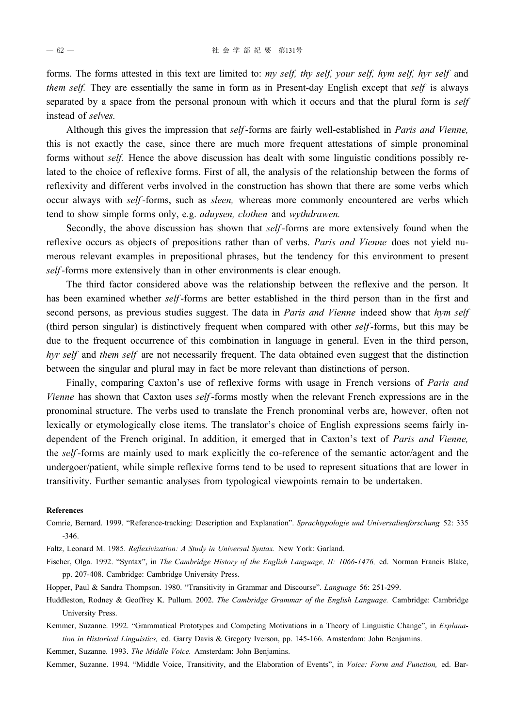forms. The forms attested in this text are limited to: *my self, thy self, your self, hym self, hyr self* and *them self.* They are essentially the same in form as in Present-day English except that *self* is always separated by a space from the personal pronoun with which it occurs and that the plural form is *self* instead of *selves.*

Although this gives the impression that *self*-forms are fairly well-established in *Paris and Vienne,* this is not exactly the case, since there are much more frequent attestations of simple pronominal forms without *self.* Hence the above discussion has dealt with some linguistic conditions possibly related to the choice of reflexive forms. First of all, the analysis of the relationship between the forms of reflexivity and different verbs involved in the construction has shown that there are some verbs which occur always with *self*-forms, such as *sleen,* whereas more commonly encountered are verbs which tend to show simple forms only, e.g. *aduysen, clothen* and *wythdrawen.*

Secondly, the above discussion has shown that *self*-forms are more extensively found when the reflexive occurs as objects of prepositions rather than of verbs. *Paris and Vienne* does not yield numerous relevant examples in prepositional phrases, but the tendency for this environment to present *self*-forms more extensively than in other environments is clear enough.

The third factor considered above was the relationship between the reflexive and the person. It has been examined whether *self*-forms are better established in the third person than in the first and second persons, as previous studies suggest. The data in *Paris and Vienne* indeed show that *hym self* (third person singular) is distinctively frequent when compared with other *self*-forms, but this may be due to the frequent occurrence of this combination in language in general. Even in the third person, *hyr self* and *them self* are not necessarily frequent. The data obtained even suggest that the distinction between the singular and plural may in fact be more relevant than distinctions of person.

Finally, comparing Caxton's use of reflexive forms with usage in French versions of *Paris and Vienne* has shown that Caxton uses *self*-forms mostly when the relevant French expressions are in the pronominal structure. The verbs used to translate the French pronominal verbs are, however, often not lexically or etymologically close items. The translator's choice of English expressions seems fairly independent of the French original. In addition, it emerged that in Caxton's text of *Paris and Vienne,* the *self*-forms are mainly used to mark explicitly the co-reference of the semantic actor/agent and the undergoer/patient, while simple reflexive forms tend to be used to represent situations that are lower in transitivity. Further semantic analyses from typological viewpoints remain to be undertaken.

#### **References**

- Comrie, Bernard. 1999. "Reference-tracking: Description and Explanation". *Sprachtypologie und Universalienforschung* 52: 335 -346.
- Faltz, Leonard M. 1985. *Reflexivization: A Study in Universal Syntax.* New York: Garland.
- Fischer, Olga. 1992. "Syntax", in *The Cambridge History of the English Language, II: 1066-1476,* ed. Norman Francis Blake, pp. 207-408. Cambridge: Cambridge University Press.
- Hopper, Paul & Sandra Thompson. 1980. "Transitivity in Grammar and Discourse". *Language* 56: 251-299.
- Huddleston, Rodney & Geoffrey K. Pullum. 2002. *The Cambridge Grammar of the English Language.* Cambridge: Cambridge University Press.
- Kemmer, Suzanne. 1992. "Grammatical Prototypes and Competing Motivations in a Theory of Linguistic Change", in *Explanation in Historical Linguistics,* ed. Garry Davis & Gregory Iverson, pp. 145-166. Amsterdam: John Benjamins.

Kemmer, Suzanne. 1993. *The Middle Voice.* Amsterdam: John Benjamins.

Kemmer, Suzanne. 1994. "Middle Voice, Transitivity, and the Elaboration of Events", in *Voice: Form and Function,* ed. Bar-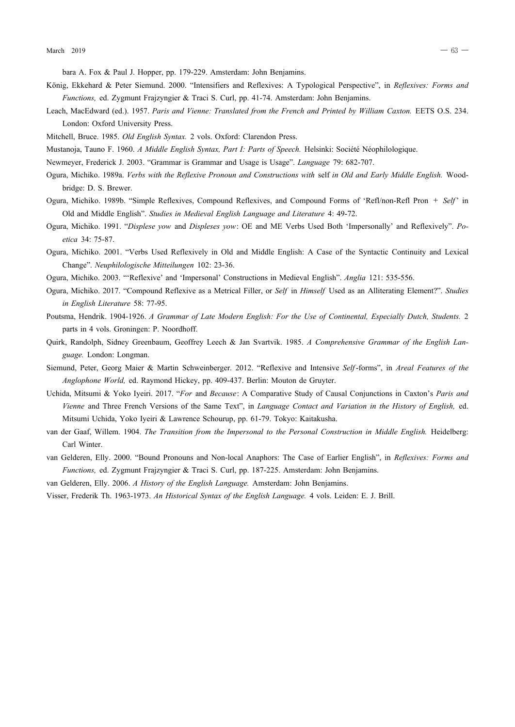bara A. Fox & Paul J. Hopper, pp. 179-229. Amsterdam: John Benjamins.

- König, Ekkehard & Peter Siemund. 2000. "Intensifiers and Reflexives: A Typological Perspective", in *Reflexives: Forms and Functions,* ed. Zygmunt Frajzyngier & Traci S. Curl, pp. 41-74. Amsterdam: John Benjamins.
- Leach, MacEdward (ed.). 1957. *Paris and Vienne: Translated from the French and Printed by William Caxton.* EETS O.S. 234. London: Oxford University Press.
- Mitchell, Bruce. 1985. *Old English Syntax.* 2 vols. Oxford: Clarendon Press.
- Mustanoja, Tauno F. 1960. *A Middle English Syntax, Part I: Parts of Speech.* Helsinki: Société Néophilologique.
- Newmeyer, Frederick J. 2003. "Grammar is Grammar and Usage is Usage". *Language* 79: 682-707.
- Ogura, Michiko. 1989a. *Verbs with the Reflexive Pronoun and Constructions with* self *in Old and Early Middle English.* Woodbridge: D. S. Brewer.
- Ogura, Michiko. 1989b. "Simple Reflexives, Compound Reflexives, and Compound Forms of 'Refl/non-Refl Pron + *Self*' in Old and Middle English". *Studies in Medieval English Language and Literature* 4: 49-72.
- Ogura, Michiko. 1991. "*Displese yow* and *Displeses yow*: OE and ME Verbs Used Both 'Impersonally' and Reflexively". *Poetica* 34: 75-87.
- Ogura, Michiko. 2001. "Verbs Used Reflexively in Old and Middle English: A Case of the Syntactic Continuity and Lexical Change". *Neuphilologische Mitteilungen* 102: 23-36.
- Ogura, Michiko. 2003. "'Reflexive' and 'Impersonal' Constructions in Medieval English". *Anglia* 121: 535-556.
- Ogura, Michiko. 2017. "Compound Reflexive as a Metrical Filler, or *Self* in *Himself* Used as an Alliterating Element?". *Studies in English Literature* 58: 77-95.
- Poutsma, Hendrik. 1904-1926. *A Grammar of Late Modern English: For the Use of Continental, Especially Dutch, Students.* 2 parts in 4 vols. Groningen: P. Noordhoff.
- Quirk, Randolph, Sidney Greenbaum, Geoffrey Leech & Jan Svartvik. 1985. *A Comprehensive Grammar of the English Language.* London: Longman.
- Siemund, Peter, Georg Maier & Martin Schweinberger. 2012. "Reflexive and Intensive *Self*-forms", in *Areal Features of the Anglophone World,* ed. Raymond Hickey, pp. 409-437. Berlin: Mouton de Gruyter.
- Uchida, Mitsumi & Yoko Iyeiri. 2017. "*For* and *Because*: A Comparative Study of Causal Conjunctions in Caxton's *Paris and Vienne* and Three French Versions of the Same Text", in *Language Contact and Variation in the History of English,* ed. Mitsumi Uchida, Yoko Iyeiri & Lawrence Schourup, pp. 61-79. Tokyo: Kaitakusha.
- van der Gaaf, Willem. 1904. *The Transition from the Impersonal to the Personal Construction in Middle English.* Heidelberg: Carl Winter.
- van Gelderen, Elly. 2000. "Bound Pronouns and Non-local Anaphors: The Case of Earlier English", in *Reflexives: Forms and Functions,* ed. Zygmunt Frajzyngier & Traci S. Curl, pp. 187-225. Amsterdam: John Benjamins.

van Gelderen, Elly. 2006. *A History of the English Language.* Amsterdam: John Benjamins.

Visser, Frederik Th. 1963-1973. *An Historical Syntax of the English Language.* 4 vols. Leiden: E. J. Brill.